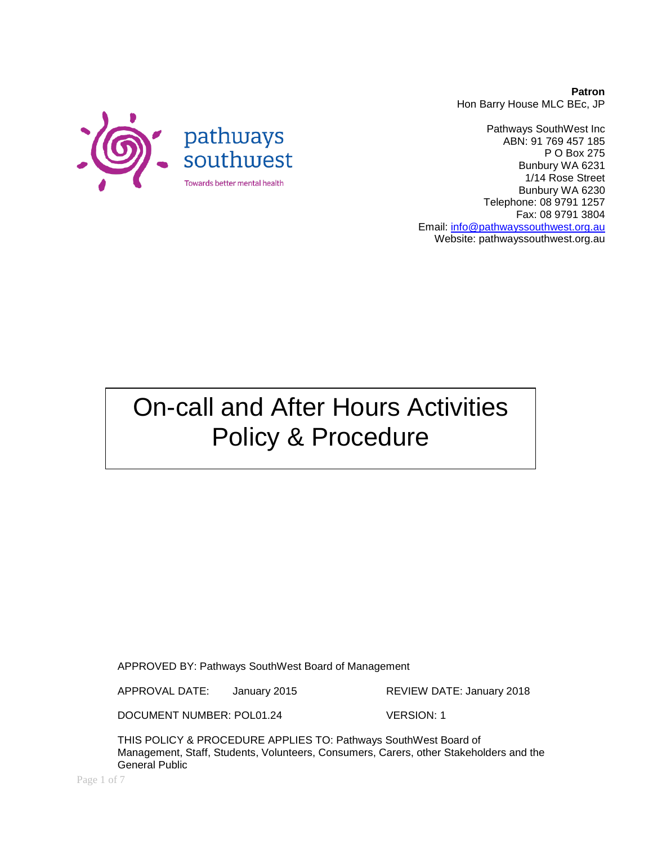**Patron** Hon Barry House MLC BEc, JP



Pathways SouthWest Inc ABN: 91 769 457 185 P O Box 275 Bunbury WA 6231 1/14 Rose Street Bunbury WA 6230 Telephone: 08 9791 1257 Fax: 08 9791 3804 Email: [info@pathwayssouthwest.org.au](mailto:info@pathwayssouthwest.org.au) Website: pathwayssouthwest.org.au

On-call and After Hours Activities Policy & Procedure

APPROVED BY: Pathways SouthWest Board of Management

APPROVAL DATE: January 2015 REVIEW DATE: January 2018

DOCUMENT NUMBER: POL01.24 VERSION: 1

THIS POLICY & PROCEDURE APPLIES TO: Pathways SouthWest Board of Management, Staff, Students, Volunteers, Consumers, Carers, other Stakeholders and the General Public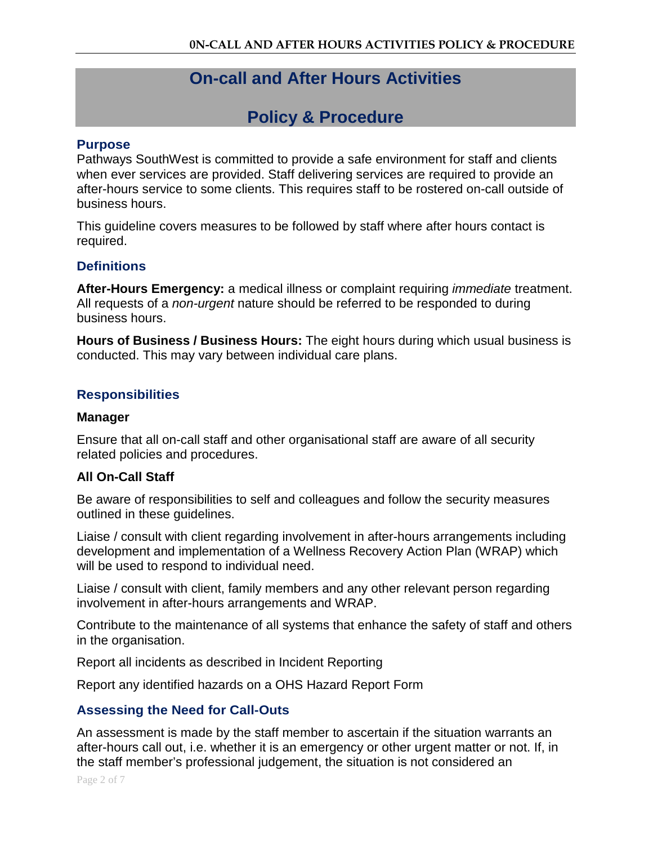# **On-call and After Hours Activities**

# **Policy & Procedure**

#### **Purpose**

Pathways SouthWest is committed to provide a safe environment for staff and clients when ever services are provided. Staff delivering services are required to provide an after-hours service to some clients. This requires staff to be rostered on-call outside of business hours.

This guideline covers measures to be followed by staff where after hours contact is required.

## **Definitions**

**After-Hours Emergency:** a medical illness or complaint requiring *immediate* treatment. All requests of a *non-urgent* nature should be referred to be responded to during business hours.

**Hours of Business / Business Hours:** The eight hours during which usual business is conducted. This may vary between individual care plans.

## **Responsibilities**

#### **Manager**

Ensure that all on-call staff and other organisational staff are aware of all security related policies and procedures.

## **All On-Call Staff**

Be aware of responsibilities to self and colleagues and follow the security measures outlined in these guidelines.

Liaise / consult with client regarding involvement in after-hours arrangements including development and implementation of a Wellness Recovery Action Plan (WRAP) which will be used to respond to individual need.

Liaise / consult with client, family members and any other relevant person regarding involvement in after-hours arrangements and WRAP.

Contribute to the maintenance of all systems that enhance the safety of staff and others in the organisation.

Report all incidents as described in Incident Reporting

Report any identified hazards on a OHS Hazard Report Form

## **Assessing the Need for Call-Outs**

An assessment is made by the staff member to ascertain if the situation warrants an after-hours call out, i.e. whether it is an emergency or other urgent matter or not. If, in the staff member's professional judgement, the situation is not considered an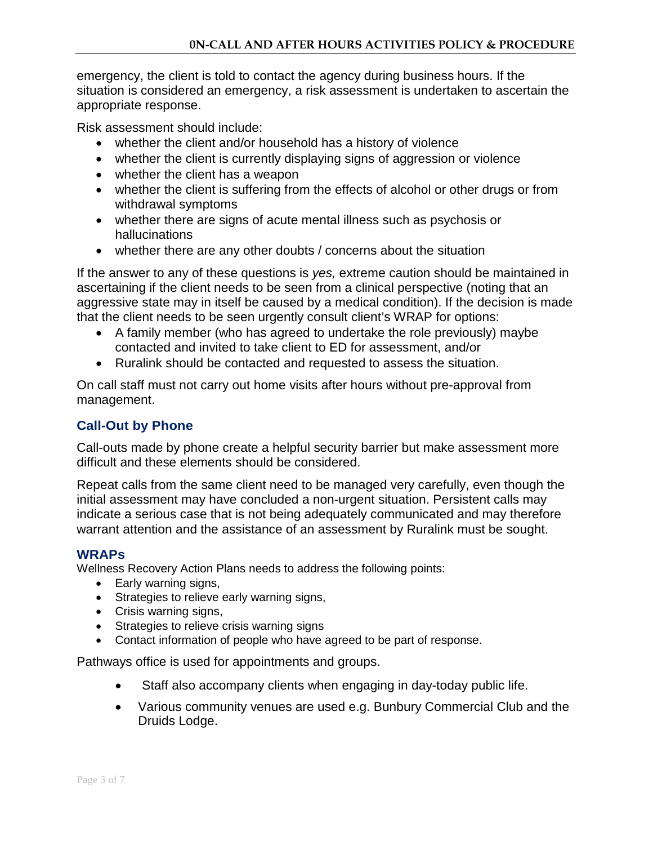emergency, the client is told to contact the agency during business hours. If the situation is considered an emergency, a risk assessment is undertaken to ascertain the appropriate response.

Risk assessment should include:

- whether the client and/or household has a history of violence
- whether the client is currently displaying signs of aggression or violence
- whether the client has a weapon
- whether the client is suffering from the effects of alcohol or other drugs or from withdrawal symptoms
- whether there are signs of acute mental illness such as psychosis or hallucinations
- whether there are any other doubts / concerns about the situation

If the answer to any of these questions is *yes,* extreme caution should be maintained in ascertaining if the client needs to be seen from a clinical perspective (noting that an aggressive state may in itself be caused by a medical condition). If the decision is made that the client needs to be seen urgently consult client's WRAP for options:

- A family member (who has agreed to undertake the role previously) maybe contacted and invited to take client to ED for assessment, and/or
- Ruralink should be contacted and requested to assess the situation.

On call staff must not carry out home visits after hours without pre-approval from management.

## **Call-Out by Phone**

Call-outs made by phone create a helpful security barrier but make assessment more difficult and these elements should be considered.

Repeat calls from the same client need to be managed very carefully, even though the initial assessment may have concluded a non-urgent situation. Persistent calls may indicate a serious case that is not being adequately communicated and may therefore warrant attention and the assistance of an assessment by Ruralink must be sought.

## **WRAPs**

Wellness Recovery Action Plans needs to address the following points:

- Early warning signs,
- Strategies to relieve early warning signs,
- Crisis warning signs,
- Strategies to relieve crisis warning signs
- Contact information of people who have agreed to be part of response.

Pathways office is used for appointments and groups.

- Staff also accompany clients when engaging in day-today public life.
- Various community venues are used e.g. Bunbury Commercial Club and the Druids Lodge.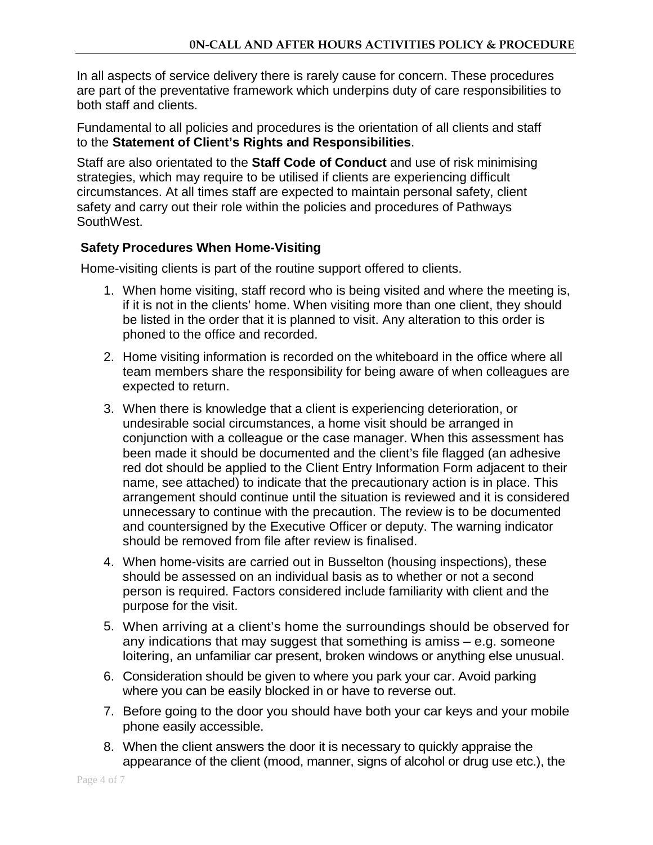In all aspects of service delivery there is rarely cause for concern. These procedures are part of the preventative framework which underpins duty of care responsibilities to both staff and clients.

Fundamental to all policies and procedures is the orientation of all clients and staff to the **Statement of Client's Rights and Responsibilities**.

Staff are also orientated to the **Staff Code of Conduct** and use of risk minimising strategies, which may require to be utilised if clients are experiencing difficult circumstances. At all times staff are expected to maintain personal safety, client safety and carry out their role within the policies and procedures of Pathways SouthWest.

## **Safety Procedures When Home-Visiting**

Home-visiting clients is part of the routine support offered to clients.

- 1. When home visiting, staff record who is being visited and where the meeting is, if it is not in the clients' home. When visiting more than one client, they should be listed in the order that it is planned to visit. Any alteration to this order is phoned to the office and recorded.
- 2. Home visiting information is recorded on the whiteboard in the office where all team members share the responsibility for being aware of when colleagues are expected to return.
- 3. When there is knowledge that a client is experiencing deterioration, or undesirable social circumstances, a home visit should be arranged in conjunction with a colleague or the case manager. When this assessment has been made it should be documented and the client's file flagged (an adhesive red dot should be applied to the Client Entry Information Form adjacent to their name, see attached) to indicate that the precautionary action is in place. This arrangement should continue until the situation is reviewed and it is considered unnecessary to continue with the precaution. The review is to be documented and countersigned by the Executive Officer or deputy. The warning indicator should be removed from file after review is finalised.
- 4. When home-visits are carried out in Busselton (housing inspections), these should be assessed on an individual basis as to whether or not a second person is required. Factors considered include familiarity with client and the purpose for the visit.
- 5. When arriving at a client's home the surroundings should be observed for any indications that may suggest that something is amiss – e.g. someone loitering, an unfamiliar car present, broken windows or anything else unusual.
- 6. Consideration should be given to where you park your car. Avoid parking where you can be easily blocked in or have to reverse out.
- 7. Before going to the door you should have both your car keys and your mobile phone easily accessible.
- 8. When the client answers the door it is necessary to quickly appraise the appearance of the client (mood, manner, signs of alcohol or drug use etc.), the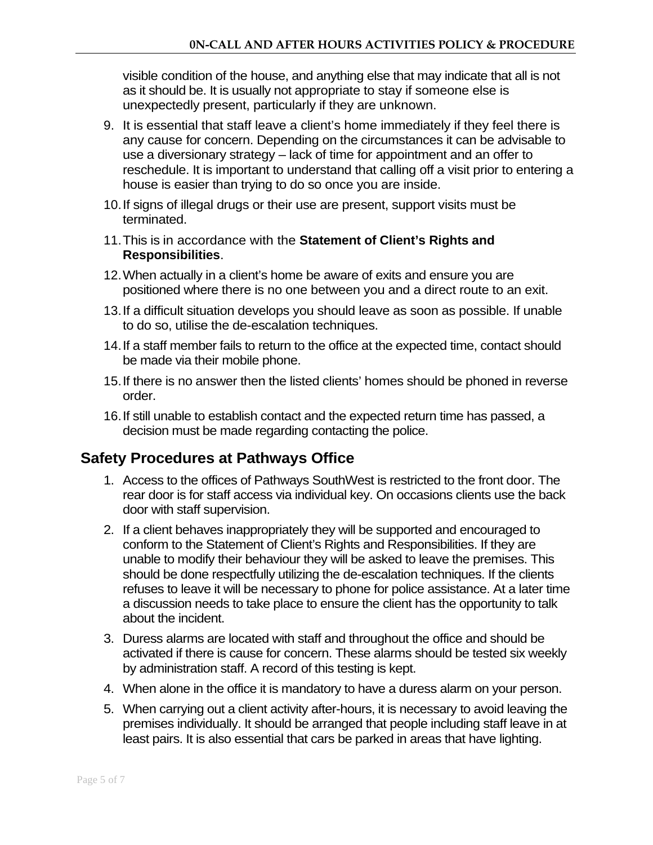visible condition of the house, and anything else that may indicate that all is not as it should be. It is usually not appropriate to stay if someone else is unexpectedly present, particularly if they are unknown.

- 9. It is essential that staff leave a client's home immediately if they feel there is any cause for concern. Depending on the circumstances it can be advisable to use a diversionary strategy – lack of time for appointment and an offer to reschedule. It is important to understand that calling off a visit prior to entering a house is easier than trying to do so once you are inside.
- 10.If signs of illegal drugs or their use are present, support visits must be terminated.
- 11.This is in accordance with the **Statement of Client's Rights and Responsibilities**.
- 12.When actually in a client's home be aware of exits and ensure you are positioned where there is no one between you and a direct route to an exit.
- 13.If a difficult situation develops you should leave as soon as possible. If unable to do so, utilise the de-escalation techniques.
- 14.If a staff member fails to return to the office at the expected time, contact should be made via their mobile phone.
- 15.If there is no answer then the listed clients' homes should be phoned in reverse order.
- 16.If still unable to establish contact and the expected return time has passed, a decision must be made regarding contacting the police.

## **Safety Procedures at Pathways Office**

- 1. Access to the offices of Pathways SouthWest is restricted to the front door. The rear door is for staff access via individual key. On occasions clients use the back door with staff supervision.
- 2. If a client behaves inappropriately they will be supported and encouraged to conform to the Statement of Client's Rights and Responsibilities. If they are unable to modify their behaviour they will be asked to leave the premises. This should be done respectfully utilizing the de-escalation techniques. If the clients refuses to leave it will be necessary to phone for police assistance. At a later time a discussion needs to take place to ensure the client has the opportunity to talk about the incident.
- 3. Duress alarms are located with staff and throughout the office and should be activated if there is cause for concern. These alarms should be tested six weekly by administration staff. A record of this testing is kept.
- 4. When alone in the office it is mandatory to have a duress alarm on your person.
- 5. When carrying out a client activity after-hours, it is necessary to avoid leaving the premises individually. It should be arranged that people including staff leave in at least pairs. It is also essential that cars be parked in areas that have lighting.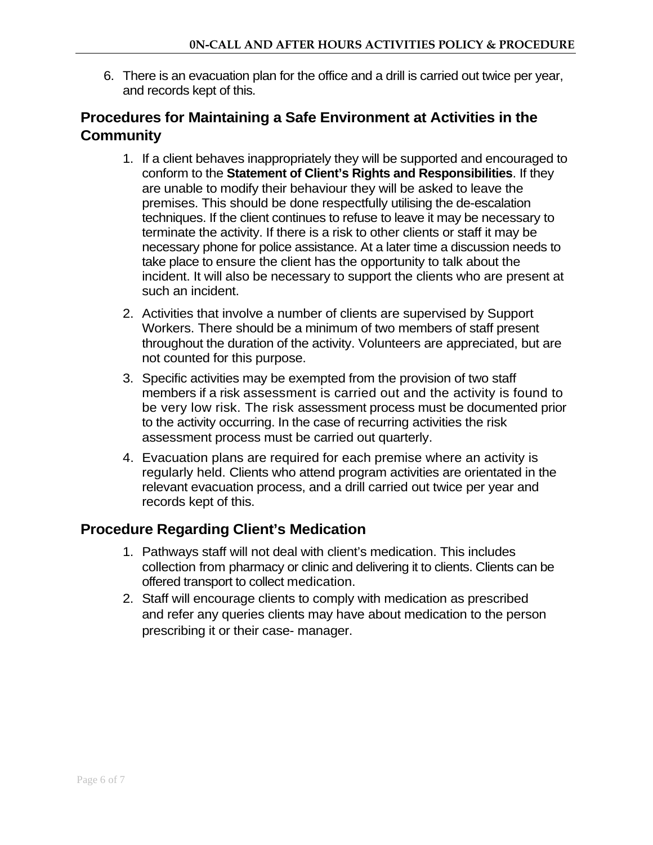6. There is an evacuation plan for the office and a drill is carried out twice per year, and records kept of this.

# **Procedures for Maintaining a Safe Environment at Activities in the Community**

- 1. If a client behaves inappropriately they will be supported and encouraged to conform to the **Statement of Client's Rights and Responsibilities**. If they are unable to modify their behaviour they will be asked to leave the premises. This should be done respectfully utilising the de-escalation techniques. If the client continues to refuse to leave it may be necessary to terminate the activity. If there is a risk to other clients or staff it may be necessary phone for police assistance. At a later time a discussion needs to take place to ensure the client has the opportunity to talk about the incident. It will also be necessary to support the clients who are present at such an incident.
- 2. Activities that involve a number of clients are supervised by Support Workers. There should be a minimum of two members of staff present throughout the duration of the activity. Volunteers are appreciated, but are not counted for this purpose.
- 3. Specific activities may be exempted from the provision of two staff members if a risk assessment is carried out and the activity is found to be very low risk. The risk assessment process must be documented prior to the activity occurring. In the case of recurring activities the risk assessment process must be carried out quarterly.
- 4. Evacuation plans are required for each premise where an activity is regularly held. Clients who attend program activities are orientated in the relevant evacuation process, and a drill carried out twice per year and records kept of this.

## **Procedure Regarding Client's Medication**

- 1. Pathways staff will not deal with client's medication. This includes collection from pharmacy or clinic and delivering it to clients. Clients can be offered transport to collect medication.
- 2. Staff will encourage clients to comply with medication as prescribed and refer any queries clients may have about medication to the person prescribing it or their case- manager.